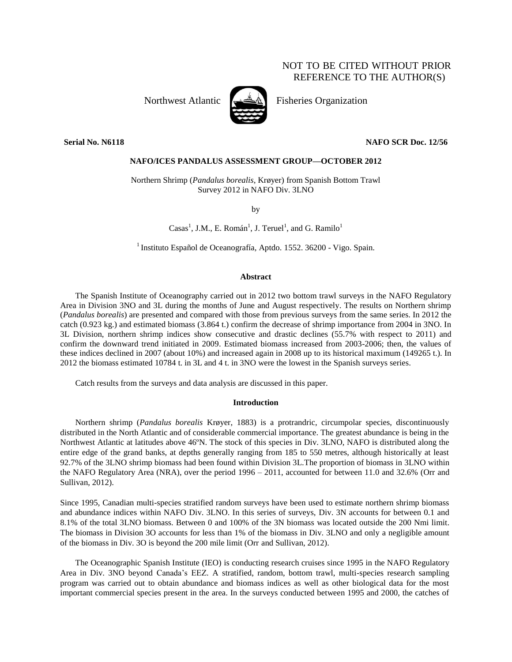# NOT TO BE CITED WITHOUT PRIOR REFERENCE TO THE AUTHOR(S)



Northwest Atlantic  $\left[\begin{matrix} \frac{1}{2} & \frac{1}{2} \\ \frac{1}{2} & \frac{1}{2} \\ \frac{1}{2} & \frac{1}{2} \end{matrix}\right]$  Fisheries Organization

**Serial No. N6118 NAFO SCR Doc. 12/56**

# **NAFO/ICES PANDALUS ASSESSMENT GROUP—OCTOBER 2012**

Northern Shrimp (*Pandalus borealis*, Krøyer) from Spanish Bottom Trawl Survey 2012 in NAFO Div. 3LNO

by

 $\text{Casa}^1$ , J.M., E. Román<sup>1</sup>, J. Teruel<sup>1</sup>, and G. Ramilo<sup>1</sup>

<sup>1</sup> Instituto Español de Oceanografía, Aptdo. 1552. 36200 - Vigo. Spain.

# **Abstract**

The Spanish Institute of Oceanography carried out in 2012 two bottom trawl surveys in the NAFO Regulatory Area in Division 3NO and 3L during the months of June and August respectively. The results on Northern shrimp (*Pandalus borealis*) are presented and compared with those from previous surveys from the same series. In 2012 the catch (0.923 kg.) and estimated biomass (3.864 t.) confirm the decrease of shrimp importance from 2004 in 3NO. In 3L Division, northern shrimp indices show consecutive and drastic declines (55.7% with respect to 2011) and confirm the downward trend initiated in 2009. Estimated biomass increased from 2003-2006; then, the values of these indices declined in 2007 (about 10%) and increased again in 2008 up to its historical maximum (149265 t.). In 2012 the biomass estimated 10784 t. in 3L and 4 t. in 3NO were the lowest in the Spanish surveys series.

Catch results from the surveys and data analysis are discussed in this paper.

## **Introduction**

Northern shrimp (*Pandalus borealis* Krøyer, 1883) is a protrandric, circumpolar species, discontinuously distributed in the North Atlantic and of considerable commercial importance. The greatest abundance is being in the Northwest Atlantic at latitudes above 46ºN. The stock of this species in Div. 3LNO, NAFO is distributed along the entire edge of the grand banks, at depths generally ranging from 185 to 550 metres, although historically at least 92.7% of the 3LNO shrimp biomass had been found within Division 3L.The proportion of biomass in 3LNO within the NAFO Regulatory Area (NRA), over the period 1996 – 2011, accounted for between 11.0 and 32.6% (Orr and Sullivan, 2012).

Since 1995, Canadian multi-species stratified random surveys have been used to estimate northern shrimp biomass and abundance indices within NAFO Div. 3LNO. In this series of surveys, Div. 3N accounts for between 0.1 and 8.1% of the total 3LNO biomass. Between 0 and 100% of the 3N biomass was located outside the 200 Nmi limit. The biomass in Division 3O accounts for less than 1% of the biomass in Div. 3LNO and only a negligible amount of the biomass in Div. 3O is beyond the 200 mile limit (Orr and Sullivan, 2012).

The Oceanographic Spanish Institute (IEO) is conducting research cruises since 1995 in the NAFO Regulatory Area in Div. 3NO beyond Canada's EEZ. A stratified, random, bottom trawl, multi-species research sampling program was carried out to obtain abundance and biomass indices as well as other biological data for the most important commercial species present in the area. In the surveys conducted between 1995 and 2000, the catches of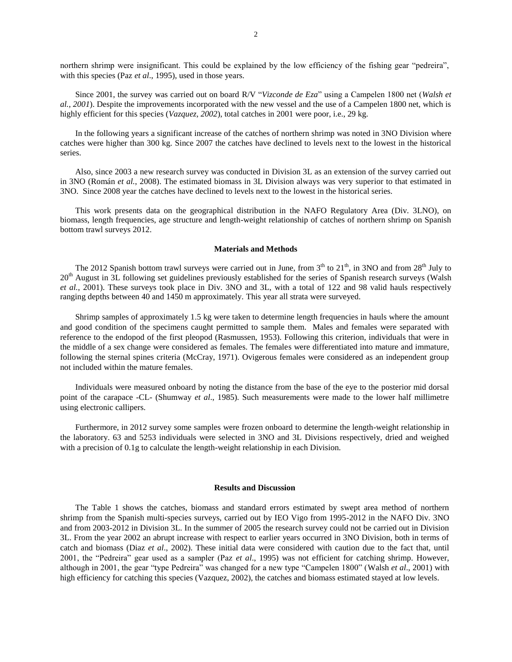northern shrimp were insignificant. This could be explained by the low efficiency of the fishing gear "pedreira", with this species (Paz *et al*., 1995), used in those years.

Since 2001, the survey was carried out on board R/V "*Vizconde de Eza*" using a Campelen 1800 net (*Walsh et al., 2001*). Despite the improvements incorporated with the new vessel and the use of a Campelen 1800 net, which is highly efficient for this species (*Vazquez*, 2002), total catches in 2001 were poor, i.e., 29 kg.

In the following years a significant increase of the catches of northern shrimp was noted in 3NO Division where catches were higher than 300 kg. Since 2007 the catches have declined to levels next to the lowest in the historical series.

Also, since 2003 a new research survey was conducted in Division 3L as an extension of the survey carried out in 3NO (Román *et al.*, 2008). The estimated biomass in 3L Division always was very superior to that estimated in 3NO. Since 2008 year the catches have declined to levels next to the lowest in the historical series.

This work presents data on the geographical distribution in the NAFO Regulatory Area (Div. 3LNO), on biomass, length frequencies, age structure and length-weight relationship of catches of northern shrimp on Spanish bottom trawl surveys 2012.

#### **Materials and Methods**

The 2012 Spanish bottom trawl surveys were carried out in June, from  $3<sup>th</sup>$  to  $21<sup>th</sup>$ , in 3NO and from  $28<sup>th</sup>$  July to 20<sup>th</sup> August in 3L following set guidelines previously established for the series of Spanish research surveys (Walsh *et al.*, 2001). These surveys took place in Div. 3NO and 3L, with a total of 122 and 98 valid hauls respectively ranging depths between 40 and 1450 m approximately. This year all strata were surveyed.

Shrimp samples of approximately 1.5 kg were taken to determine length frequencies in hauls where the amount and good condition of the specimens caught permitted to sample them. Males and females were separated with reference to the endopod of the first pleopod (Rasmussen, 1953). Following this criterion, individuals that were in the middle of a sex change were considered as females. The females were differentiated into mature and immature, following the sternal spines criteria (McCray, 1971). Ovigerous females were considered as an independent group not included within the mature females.

Individuals were measured onboard by noting the distance from the base of the eye to the posterior mid dorsal point of the carapace -CL- (Shumway *et al*., 1985). Such measurements were made to the lower half millimetre using electronic callipers.

Furthermore, in 2012 survey some samples were frozen onboard to determine the length-weight relationship in the laboratory. 63 and 5253 individuals were selected in 3NO and 3L Divisions respectively, dried and weighed with a precision of 0.1g to calculate the length-weight relationship in each Division.

### **Results and Discussion**

The Table 1 shows the catches, biomass and standard errors estimated by swept area method of northern shrimp from the Spanish multi-species surveys, carried out by IEO Vigo from 1995-2012 in the NAFO Div. 3NO and from 2003-2012 in Division 3L. In the summer of 2005 the research survey could not be carried out in Division 3L. From the year 2002 an abrupt increase with respect to earlier years occurred in 3NO Division, both in terms of catch and biomass (Diaz *et al*., 2002). These initial data were considered with caution due to the fact that, until 2001, the "Pedreira" gear used as a sampler (Paz *et al*., 1995) was not efficient for catching shrimp. However, although in 2001, the gear "type Pedreira" was changed for a new type "Campelen 1800" (Walsh *et al*., 2001) with high efficiency for catching this species (Vazquez, 2002), the catches and biomass estimated stayed at low levels.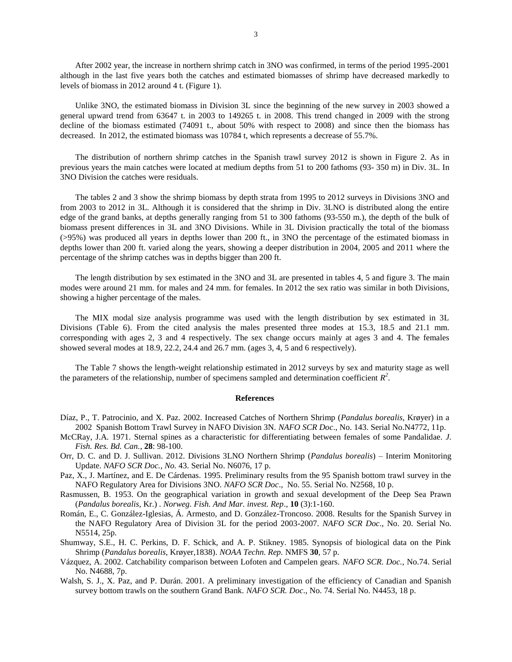After 2002 year, the increase in northern shrimp catch in 3NO was confirmed, in terms of the period 1995-2001 although in the last five years both the catches and estimated biomasses of shrimp have decreased markedly to levels of biomass in 2012 around 4 t. (Figure 1).

Unlike 3NO, the estimated biomass in Division 3L since the beginning of the new survey in 2003 showed a general upward trend from 63647 t. in 2003 to 149265 t. in 2008. This trend changed in 2009 with the strong decline of the biomass estimated (74091 t., about 50% with respect to 2008) and since then the biomass has decreased. In 2012, the estimated biomass was 10784 t, which represents a decrease of 55.7%.

The distribution of northern shrimp catches in the Spanish trawl survey 2012 is shown in Figure 2. As in previous years the main catches were located at medium depths from 51 to 200 fathoms (93- 350 m) in Div. 3L. In 3NO Division the catches were residuals.

The tables 2 and 3 show the shrimp biomass by depth strata from 1995 to 2012 surveys in Divisions 3NO and from 2003 to 2012 in 3L. Although it is considered that the shrimp in Div. 3LNO is distributed along the entire edge of the grand banks, at depths generally ranging from 51 to 300 fathoms (93-550 m.), the depth of the bulk of biomass present differences in 3L and 3NO Divisions. While in 3L Division practically the total of the biomass (>95%) was produced all years in depths lower than 200 ft., in 3NO the percentage of the estimated biomass in depths lower than 200 ft. varied along the years, showing a deeper distribution in 2004, 2005 and 2011 where the percentage of the shrimp catches was in depths bigger than 200 ft.

The length distribution by sex estimated in the 3NO and 3L are presented in tables 4, 5 and figure 3. The main modes were around 21 mm. for males and 24 mm. for females. In 2012 the sex ratio was similar in both Divisions, showing a higher percentage of the males.

The MIX modal size analysis programme was used with the length distribution by sex estimated in 3L Divisions (Table 6). From the cited analysis the males presented three modes at 15.3, 18.5 and 21.1 mm. corresponding with ages 2, 3 and 4 respectively. The sex change occurs mainly at ages 3 and 4. The females showed several modes at 18.9, 22.2, 24.4 and 26.7 mm. (ages 3, 4, 5 and 6 respectively).

The Table 7 shows the length-weight relationship estimated in 2012 surveys by sex and maturity stage as well the parameters of the relationship, number of specimens sampled and determination coefficient  $R^2$ .

#### **References**

- Díaz, P., T. Patrocinio, and X. Paz. 2002. Increased Catches of Northern Shrimp (*Pandalus borealis*, Krøyer) in a 2002 Spanish Bottom Trawl Survey in NAFO Division 3N. *NAFO SCR Doc*., No. 143. Serial No.N4772, 11p.
- McCRay, J.A. 1971. Sternal spines as a characteristic for differentiating between females of some Pandalidae. *J. Fish. Res. Bd. Can.*, **28**: 98-100.
- Orr, D. C. and D. J. Sullivan. 2012. Divisions 3LNO Northern Shrimp (*Pandalus borealis*) Interim Monitoring Update. *NAFO SCR Doc., No.* 43. Serial No. N6076, 17 p.
- Paz, X., J. Martínez, and E. De Cárdenas. 1995. Preliminary results from the 95 Spanish bottom trawl survey in the NAFO Regulatory Area for Divisions 3NO. *NAFO SCR Doc*., No. 55. Serial No. N2568, 10 p.
- Rasmussen, B. 1953. On the geographical variation in growth and sexual development of the Deep Sea Prawn (*Pandalus borealis*, Kr.) . *Norweg. Fish. And Mar. invest. Rep*., **10** (3):1-160.
- Román, E., C. González-Iglesias, Á. Armesto, and D. González-Troncoso. 2008. Results for the Spanish Survey in the NAFO Regulatory Area of Division 3L for the period 2003-2007. *NAFO SCR Doc*., No. 20. Serial No. N5514, 25p.
- Shumway, S.E., H. C. Perkins, D. F. Schick, and A. P. Stikney. 1985. Synopsis of biological data on the Pink Shrimp (*Pandalus borealis*, Krøyer,1838). *NOAA Techn. Rep.* NMFS **30**, 57 p.
- Vázquez, A. 2002. Catchability comparison between Lofoten and Campelen gears. *NAFO SCR. Doc.,* No.74. Serial No. N4688, 7p.
- Walsh, S. J., X. Paz, and P. Durán. 2001. A preliminary investigation of the efficiency of Canadian and Spanish survey bottom trawls on the southern Grand Bank. *NAFO SCR. Doc*., No. 74. Serial No. N4453, 18 p.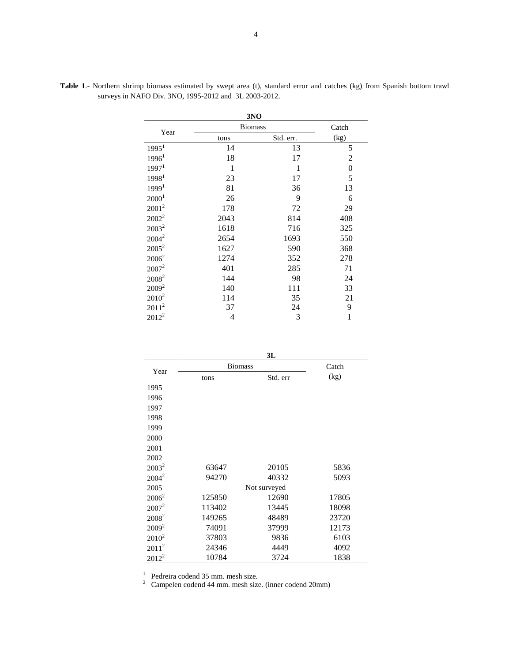|                   | 3NO            |           |                |  |
|-------------------|----------------|-----------|----------------|--|
| Year              | <b>Biomass</b> | Catch     |                |  |
|                   | tons           | Std. err. | (kg)           |  |
| 1995 <sup>1</sup> | 14             | 13        | 5              |  |
| 1996 <sup>1</sup> | 18             | 17        | 2              |  |
| 1997 <sup>1</sup> | 1              | 1         | $\overline{0}$ |  |
| 19981             | 23             | 17        | 5              |  |
| 1999 <sup>1</sup> | 81             | 36        | 13             |  |
| 2000 <sup>1</sup> | 26             | 9         | 6              |  |
| $2001^2$          | 178            | 72        | 29             |  |
| $2002^2$          | 2043           | 814       | 408            |  |
| $2003^2$          | 1618           | 716       | 325            |  |
| $2004^2$          | 2654           | 1693      | 550            |  |
| $2005^2$          | 1627           | 590       | 368            |  |
| $2006^2$          | 1274           | 352       | 278            |  |
| $2007^2$          | 401            | 285       | 71             |  |
| 2008 <sup>2</sup> | 144            | 98        | 24             |  |
| $2009^2$          | 140            | 111       | 33             |  |
| $2010^2$          | 114            | 35        | 21             |  |
| $2011^2$          | 37             | 24        | 9              |  |
| $2012^2$          | 4              | 3         | $\mathbf{1}$   |  |

**Table 1**.- Northern shrimp biomass estimated by swept area (t), standard error and catches (kg) from Spanish bottom trawl surveys in NAFO Div. 3NO, 1995-2012 and 3L 2003-2012.

| ×             |  |
|---------------|--|
| ۰,<br>×<br>۰. |  |

|          |                | JL           |       |  |  |
|----------|----------------|--------------|-------|--|--|
| Year     | <b>Biomass</b> | Catch        |       |  |  |
|          | tons           | Std. err     |       |  |  |
| 1995     |                |              |       |  |  |
| 1996     |                |              |       |  |  |
| 1997     |                |              |       |  |  |
| 1998     |                |              |       |  |  |
| 1999     |                |              |       |  |  |
| 2000     |                |              |       |  |  |
| 2001     |                |              |       |  |  |
| 2002     |                |              |       |  |  |
| $2003^2$ | 63647          | 20105        | 5836  |  |  |
| $2004^2$ | 94270          | 40332        | 5093  |  |  |
| 2005     |                | Not surveyed |       |  |  |
| $2006^2$ | 125850         | 12690        | 17805 |  |  |
| $2007^2$ | 113402         | 13445        | 18098 |  |  |
| $2008^2$ | 149265         | 48489        | 23720 |  |  |
| $2009^2$ | 74091          | 37999        | 12173 |  |  |
| $2010^2$ | 37803          | 9836         | 6103  |  |  |
| $2011^2$ | 24346          | 4449         | 4092  |  |  |
| $2012^2$ | 10784          | 3724         | 1838  |  |  |

Pedreira codend 35 mm. mesh size. 2 Campelen codend 44 mm. mesh size. (inner codend 20mm)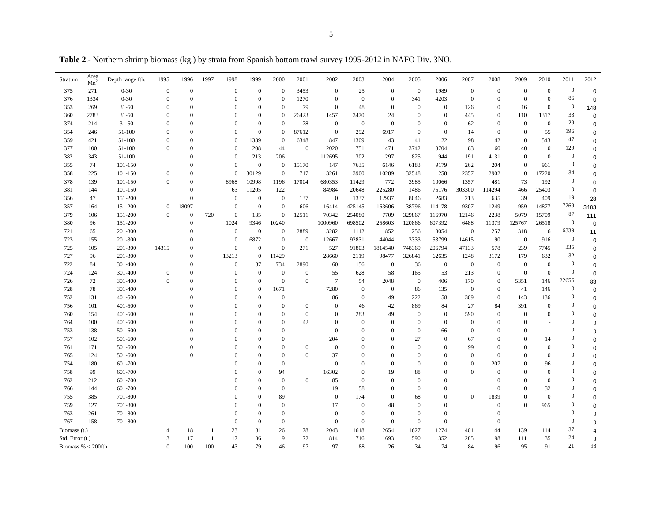**Table 2**.- Northern shrimp biomass (kg.) by strata from Spanish bottom trawl survey 1995-2012 in NAFO Div. 3NO.

| Stratum              | Area<br>Mn <sup>2</sup> | Depth range fth. | 1995           | 1996             | 1997           | 1998         | 1999             | 2000             | 2001             | 2002             | 2003             | 2004             | 2005             | 2006         | 2007           | 2008             | 2009             | 2010           | 2011             | 2012             |
|----------------------|-------------------------|------------------|----------------|------------------|----------------|--------------|------------------|------------------|------------------|------------------|------------------|------------------|------------------|--------------|----------------|------------------|------------------|----------------|------------------|------------------|
| 375                  | 271                     | $0 - 30$         | $\mathbf{0}$   | $\mathbf{0}$     |                | $\mathbf{0}$ | $\mathbf{0}$     | $\theta$         | 3453             | $\overline{0}$   | 25               | $\boldsymbol{0}$ | $\overline{0}$   | 1989         | $\mathbf{0}$   | $\mathbf{0}$     | $\boldsymbol{0}$ | $\overline{0}$ | $\mathbf{0}$     | $\mathbf 0$      |
| 376                  | 1334                    | $0 - 30$         | $\overline{0}$ | $\boldsymbol{0}$ |                | $\mathbf{0}$ | $\theta$         | $\mathbf{0}$     | 1270             | $\mathbf{0}$     | $\overline{0}$   | $\overline{0}$   | 341              | 4203         | $\mathbf{0}$   | $\mathbf{0}$     | $\boldsymbol{0}$ | $\mathbf{0}$   | 86               | $\mathbf 0$      |
| 353                  | 269                     | $31 - 50$        | $\Omega$       | $\Omega$         |                | $\Omega$     | $\Omega$         | $\Omega$         | 79               | $\mathbf{0}$     | 48               | $\Omega$         | $\overline{0}$   | $\mathbf{0}$ | 126            | $\mathbf{0}$     | 16               | $\mathbf{0}$   | $\mathbf{0}$     | 148              |
| 360                  | 2783                    | $31 - 50$        | $\theta$       | $\Omega$         |                | $\theta$     | $\theta$         | $\mathbf{0}$     | 26423            | 1457             | 3470             | 24               | $\mathbf{0}$     | $\mathbf{0}$ | 445            | $\mathbf{0}$     | 110              | 1317           | 33               | $\mathbf 0$      |
| 374                  | 214                     | $31 - 50$        | $\Omega$       | $\Omega$         |                | $\Omega$     | $\theta$         | $\Omega$         | 178              | $\mathbf{0}$     | $\boldsymbol{0}$ | $\boldsymbol{0}$ | $\overline{0}$   | $\Omega$     | 62             | $\mathbf{0}$     | $\mathbf{0}$     | $\overline{0}$ | 29               | $\Omega$         |
| 354                  | 246                     | 51-100           | $\theta$       | $\Omega$         |                | $\theta$     | $\mathbf{0}$     | $\mathbf{0}$     | 87612            | $\mathbf{0}$     | 292              | 6917             | $\overline{0}$   | $\mathbf{0}$ | 14             | $\mathbf{0}$     | $\mathbf{0}$     | 55             | 196              | 0                |
| 359                  | 421                     | 51-100           | $\Omega$       | $\Omega$         |                | $\Omega$     | 1389             | $\Omega$         | 6348             | 847              | 1309             | 43               | 41               | 22           | 98             | 42               | $\theta$         | 543            | 47               | 0                |
| 377                  | 100                     | 51-100           | $\overline{0}$ | $\Omega$         |                | $\Omega$     | 208              | 44               | $\overline{0}$   | 2020             | 751              | 1471             | 3742             | 3704         | 83             | 60               | 40               | $\overline{0}$ | 129              | 0                |
| 382                  | 343                     | 51-100           |                | $\Omega$         |                | $\Omega$     | 213              | 206              |                  | 112695           | 302              | 297              | 825              | 944          | 191            | 4131             | $\overline{0}$   | $\overline{0}$ | $\mathbf{0}$     | 0                |
| 355                  | 74                      | 101-150          |                | $\Omega$         |                | $\theta$     | $\mathbf{0}$     | $\theta$         | 15170            | 147              | 7635             | 6146             | 6183             | 9179         | 262            | 204              | $\mathbf{0}$     | 961            | $\overline{0}$   | $\Omega$         |
| 358                  | 225                     | 101-150          | $\mathbf{0}$   | $\Omega$         |                | $\Omega$     | 30129            | $\boldsymbol{0}$ | 717              | 3261             | 3900             | 10289            | 32548            | 258          | 2357           | 2902             | $\theta$         | 17220          | 34               | $\Omega$         |
| 378                  | 139                     | 101-150          | $\mathbf{0}$   | $\Omega$         |                | 8968         | 10998            | 1196             | 17004            | 680353           | 11429            | 772              | 3985             | 10066        | 1357           | 481              | 73               | 192            | $\overline{0}$   | $\mathbf 0$      |
| 381                  | 144                     | 101-150          |                | $\Omega$         |                | 63           | 11205            | 122              |                  | 84984            | 20648            | 225280           | 1486             | 75176        | 303300         | 114294           | 466              | 25403          | $\mathbf{0}$     | $\Omega$         |
| 356                  | 47                      | 151-200          |                | $\Omega$         |                | $\Omega$     | $\mathbf{0}$     | $\mathbf{0}$     | 137              | $\overline{0}$   | 1337             | 12937            | 8046             | 2683         | 213            | 635              | 39               | 409            | 19               | 28               |
| 357                  | 164                     | 151-200          | $\overline{0}$ | 18097            |                | $\theta$     | $\mathbf{0}$     | $\mathbf{0}$     | 606              | 16414            | 425145           | 163606           | 38796            | 114178       | 9307           | 1249             | 959              | 14877          | 7269             | 3483             |
| 379                  | 106                     | 151-200          | $\overline{0}$ | $\mathbf{0}$     | 720            | $\Omega$     | 135              | $\mathbf{0}$     | 12511            | 70342            | 254080           | 7709             | 329867           | 116970       | 12146          | 2238             | 5079             | 15709          | 87               | 111              |
| 380                  | 96                      | 151-200          |                | $\Omega$         |                | 1024         | 9346             | 10240            |                  | 1000960          | 698502           | 258603           | 120866           | 607392       | 6488           | 11379            | 125767           | 26518          | $\mathbf{0}$     | 0                |
| 721                  | 65                      | 201-300          |                | $\Omega$         |                | $\mathbf{0}$ | $\boldsymbol{0}$ | $\boldsymbol{0}$ | 2889             | 3282             | 1112             | 852              | 256              | 3054         | $\mathbf{0}$   | 257              | 318              | 6              | 6339             | 11               |
| 723                  | 155                     | 201-300          |                | $\Omega$         |                | $\Omega$     | 16872            | $\boldsymbol{0}$ | $\overline{0}$   | 12667            | 92831            | 44044            | 3333             | 53799        | 14615          | 90               | $\mathbf{0}$     | 916            | $\mathbf{0}$     | $\mathbf 0$      |
| 725                  | 105                     | 201-300          | 14315          | $\Omega$         |                | $\theta$     | $\theta$         | $\mathbf{0}$     | 271              | 527              | 91803            | 1814540          | 748369           | 206794       | 47133          | 578              | 239              | 7745           | 335              | $\mathbf 0$      |
| 727                  | 96                      | 201-300          |                | $\Omega$         |                | 13213        | $\theta$         | 11429            |                  | 28660            | 2119             | 98477            | 326841           | 62635        | 1248           | 3172             | 179              | 632            | 32               | $\Omega$         |
| 722                  | 84                      | 301-400          |                | $\Omega$         |                | $\theta$     | 37               | 734              | 2890             | 60               | 156              | $\mathbf{0}$     | 36               | $\mathbf{0}$ | $\mathbf{0}$   | $\mathbf{0}$     | $\mathbf{0}$     | $\overline{0}$ | $\overline{0}$   | 0                |
| 724                  | 124                     | 301-400          | $\mathbf{0}$   | $\Omega$         |                | $\theta$     | $\mathbf{0}$     | $\theta$         | $\boldsymbol{0}$ | 55               | 628              | 58               | 165              | 53           | 213            | $\mathbf{0}$     | $\overline{0}$   | $\mathbf{0}$   | $\mathbf{0}$     | $\mathbf 0$      |
| 726                  | 72                      | 301-400          | $\Omega$       | $\Omega$         |                | $\theta$     | $\theta$         | $\mathbf{0}$     | $\overline{0}$   | $\overline{7}$   | 54               | 2048             | $\mathbf{0}$     | 406          | 170            | $\mathbf{0}$     | 5351             | 146            | 22656            | 83               |
| 728                  | 78                      | 301-400          |                | $\Omega$         |                | $\theta$     | $\overline{0}$   | 1671             |                  | 7280             | $\mathbf{0}$     | $\boldsymbol{0}$ | 86               | 135          | $\overline{0}$ | $\boldsymbol{0}$ | 41               | 146            | $\boldsymbol{0}$ | $\mathbf 0$      |
| 752                  | 131                     | 401-500          |                |                  |                | $\Omega$     | $\theta$         | $\mathbf{0}$     |                  | 86               | $\mathbf{0}$     | 49               | 222              | 58           | 309            | $\mathbf{0}$     | 143              | 136            | $\bf{0}$         | $\mathbf 0$      |
| 756                  | 101                     | 401-500          |                |                  |                | $\theta$     | $\theta$         | $\theta$         | $\boldsymbol{0}$ | $\mathbf{0}$     | 46               | 42               | 869              | 84           | 27             | 84               | 391              | $\mathbf{0}$   | $\bf{0}$         | 0                |
| 760                  | 154                     | 401-500          |                |                  |                | $\Omega$     | $\theta$         | $\Omega$         | $\overline{0}$   | $\theta$         | 283              | 49               | $\overline{0}$   | $\mathbf{0}$ | 590            | $\mathbf{0}$     | $\theta$         | $\Omega$       | $\bf{0}$         | $\Omega$         |
| 764                  | 100                     | 401-500          |                |                  |                | $\Omega$     | $\Omega$         | $\Omega$         | 42               | $\Omega$         | $\Omega$         | $\Omega$         | $\theta$         | $\mathbf{0}$ | $\Omega$       | $\mathbf{0}$     | $\theta$         |                | $\overline{0}$   | $\theta$         |
| 753                  | 138                     | 501-600          |                |                  |                |              | $\Omega$         | $\Omega$         |                  | $\mathbf{0}$     | $\theta$         | $\Omega$         | $\overline{0}$   | 166          | $\Omega$       | $\theta$         | $\theta$         |                | $\theta$         | $\theta$         |
| 757                  | 102                     | 501-600          |                |                  |                | $\theta$     | $\theta$         | $\Omega$         |                  | 204              | $\theta$         | $\Omega$         | 27               | $\mathbf{0}$ | 67             | $\mathbf{0}$     | $\overline{0}$   | 14             | $\Omega$         | 0                |
| 761                  | 171                     | 501-600          |                |                  |                | $\Omega$     | $\Omega$         | $\Omega$         | $\boldsymbol{0}$ | $\boldsymbol{0}$ | $\Omega$         | $\Omega$         | $\boldsymbol{0}$ | $\Omega$     | 99             | $\overline{0}$   | $\overline{0}$   | $\Omega$       | $\Omega$         | 0                |
| 765                  | 124                     | 501-600          |                | $\Omega$         |                |              | $\theta$         | $\Omega$         | $\overline{0}$   | 37               | $\theta$         | $\Omega$         | $\Omega$         | $\Omega$     | $\Omega$       | $\Omega$         | $\theta$         | $\Omega$       | $\theta$         | 0                |
| 754                  | 180                     | 601-700          |                |                  |                |              | $\theta$         | $\mathbf{0}$     |                  | $\overline{0}$   | $\theta$         | $\theta$         | $\overline{0}$   | $\theta$     | $\theta$       | 207              | $\overline{0}$   | 96             | $\overline{0}$   | 0                |
| 758                  | 99                      | 601-700          |                |                  |                |              | $\theta$         | 94               |                  | 16302            | $\theta$         | 19               | 88               | $\Omega$     | $\Omega$       | $\mathbf{0}$     | $\theta$         | $\Omega$       | $\mathbf{0}$     | 0                |
| 762                  | 212                     | 601-700          |                |                  |                |              | $\theta$         | $\mathbf{0}$     | $\boldsymbol{0}$ | 85               | $\boldsymbol{0}$ | $\overline{0}$   | $\theta$         | $\theta$     |                | $\boldsymbol{0}$ | $\overline{0}$   | $\theta$       | $\theta$         | $\Omega$         |
| 766                  | 144                     | 601-700          |                |                  |                |              | $\Omega$         | $\Omega$         |                  | 19               | 58               | $\Omega$         | $\Omega$         | $\Omega$     |                | $\Omega$         | $\Omega$         | 32             | $\bf{0}$         | 0                |
| 755                  | 385                     | 701-800          |                |                  |                |              | $\theta$         | 89               |                  | $\mathbf{0}$     | 174              | $\Omega$         | 68               | $\mathbf{0}$ | $\Omega$       | 1839             | $\theta$         | $\overline{0}$ | $\theta$         | 0                |
| 759                  | 127                     | 701-800          |                |                  |                | $\Omega$     | $\Omega$         | $\Omega$         |                  | 17               | $\theta$         | 48               | $\overline{0}$   | $\Omega$     |                | $\mathbf{0}$     | $\theta$         | 965            | $\Omega$         | $\Omega$         |
| 763                  | 261                     | 701-800          |                |                  |                | $\Omega$     | $\theta$         | $\mathbf{0}$     |                  | $\mathbf{0}$     | $\mathbf{0}$     | $\mathbf{0}$     | $\overline{0}$   | $\mathbf{0}$ |                | $\boldsymbol{0}$ | $\overline{a}$   |                | $\overline{0}$   | $\theta$         |
| 767                  | 158                     | 701-800          |                |                  |                | $\theta$     | $\mathbf{0}$     | $\mathbf{0}$     |                  | $\overline{0}$   | $\theta$         | $\theta$         | $\mathbf{0}$     | $\mathbf{0}$ |                | $\mathbf{0}$     |                  |                | $\mathbf{0}$     | $\boldsymbol{0}$ |
| Biomass (t.)         |                         |                  | 14             | 18               | $\overline{1}$ | 23           | 81               | 26               | 178              | 2043             | 1618             | 2654             | 1627             | 1274         | 401            | 144              | 139              | 114            | 37               | $\overline{4}$   |
| Std. Error (t.)      |                         |                  | 13             | 17               | $\mathbf{1}$   | 17           | 36               | 9                | 72               | 814              | 716              | 1693             | 590              | 352          | 285            | 98               | 111              | 35             | 24               | 3                |
| Biomass % $<$ 200fth |                         |                  | $\Omega$       | 100              | 100            | 43           | 79               | 46               | 97               | 97               | 88               | 26               | 34               | 74           | 84             | 96               | 95               | 91             | 21               | 98               |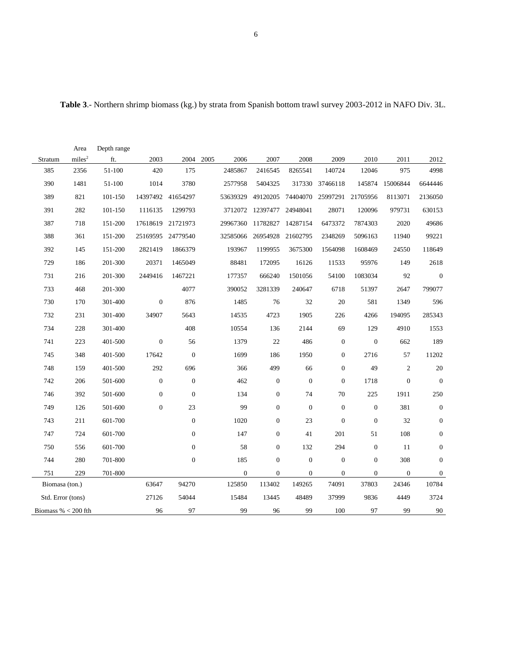|                       | Area               | Depth range |                  |                   |      |                |                            |                  |                  |                  |                  |                  |
|-----------------------|--------------------|-------------|------------------|-------------------|------|----------------|----------------------------|------------------|------------------|------------------|------------------|------------------|
| Stratum               | miles <sup>2</sup> | ft.         | 2003             | 2004              | 2005 | 2006           | 2007                       | 2008             | 2009             | 2010             | 2011             | 2012             |
| 385                   | 2356               | 51-100      | 420              | 175               |      | 2485867        | 2416545                    | 8265541          | 140724           | 12046            | 975              | 4998             |
| 390                   | 1481               | 51-100      | 1014             | 3780              |      | 2577958        | 5404325                    |                  | 317330 37466118  |                  | 145874 15006844  | 6644446          |
| 389                   | 821                | 101-150     |                  | 14397492 41654297 |      | 53639329       | 49120205                   | 74404070         | 25997291         | 21705956         | 8113071          | 2136050          |
| 391                   | 282                | 101-150     | 1116135          | 1299793           |      |                | 3712072 12397477 24948041  |                  | 28071            | 120096           | 979731           | 630153           |
| 387                   | 718                | 151-200     |                  | 17618619 21721973 |      | 29967360       | 11782827 14287154          |                  | 6473372          | 7874303          | 2020             | 49686            |
| 388                   | 361                | 151-200     |                  | 25169595 24779540 |      |                | 32585066 26954928 21602795 |                  | 2348269          | 5096163          | 11940            | 99221            |
| 392                   | 145                | 151-200     | 2821419          | 1866379           |      | 193967         | 1199955                    | 3675300          | 1564098          | 1608469          | 24550            | 118649           |
| 729                   | 186                | 201-300     | 20371            | 1465049           |      | 88481          | 172095                     | 16126            | 11533            | 95976            | 149              | 2618             |
| 731                   | 216                | 201-300     | 2449416          | 1467221           |      | 177357         | 666240                     | 1501056          | 54100            | 1083034          | 92               | $\mathbf{0}$     |
| 733                   | 468                | 201-300     |                  | 4077              |      | 390052         | 3281339                    | 240647           | 6718             | 51397            | 2647             | 799077           |
| 730                   | 170                | 301-400     | $\boldsymbol{0}$ | 876               |      | 1485           | 76                         | 32               | 20               | 581              | 1349             | 596              |
| 732                   | 231                | 301-400     | 34907            | 5643              |      | 14535          | 4723                       | 1905             | 226              | 4266             | 194095           | 285343           |
| 734                   | 228                | 301-400     |                  | 408               |      | 10554          | 136                        | 2144             | 69               | 129              | 4910             | 1553             |
| 741                   | 223                | 401-500     | $\boldsymbol{0}$ | 56                |      | 1379           | $22\,$                     | 486              | $\boldsymbol{0}$ | $\boldsymbol{0}$ | 662              | 189              |
| 745                   | 348                | 401-500     | 17642            | $\boldsymbol{0}$  |      | 1699           | 186                        | 1950             | $\boldsymbol{0}$ | 2716             | 57               | 11202            |
| 748                   | 159                | 401-500     | 292              | 696               |      | 366            | 499                        | 66               | $\boldsymbol{0}$ | 49               | $\boldsymbol{2}$ | $20\,$           |
| 742                   | 206                | 501-600     | $\boldsymbol{0}$ | $\boldsymbol{0}$  |      | 462            | $\mathbf{0}$               | $\boldsymbol{0}$ | $\boldsymbol{0}$ | 1718             | $\boldsymbol{0}$ | $\boldsymbol{0}$ |
| 746                   | 392                | 501-600     | $\boldsymbol{0}$ | $\boldsymbol{0}$  |      | 134            | $\mathbf{0}$               | 74               | $70\,$           | 225              | 1911             | 250              |
| 749                   | 126                | 501-600     | $\boldsymbol{0}$ | 23                |      | 99             | $\overline{0}$             | $\mathbf{0}$     | $\boldsymbol{0}$ | $\boldsymbol{0}$ | 381              | $\mathbf{0}$     |
| 743                   | 211                | 601-700     |                  | $\boldsymbol{0}$  |      | 1020           | $\mathbf{0}$               | 23               | $\boldsymbol{0}$ | $\boldsymbol{0}$ | 32               | $\mathbf{0}$     |
| 747                   | 724                | 601-700     |                  | $\boldsymbol{0}$  |      | 147            | $\overline{0}$             | 41               | 201              | 51               | 108              | $\boldsymbol{0}$ |
| 750                   | 556                | 601-700     |                  | $\mathbf{0}$      |      | 58             | $\overline{0}$             | 132              | 294              | $\boldsymbol{0}$ | 11               | $\mathbf{0}$     |
| 744                   | 280                | 701-800     |                  | $\boldsymbol{0}$  |      | 185            | $\mathbf{0}$               | $\boldsymbol{0}$ | $\boldsymbol{0}$ | $\boldsymbol{0}$ | 308              | $\mathbf{0}$     |
| 751                   | 229                | 701-800     |                  |                   |      | $\overline{0}$ | $\mathbf{0}$               | $\boldsymbol{0}$ | $\boldsymbol{0}$ | $\boldsymbol{0}$ | $\boldsymbol{0}$ | $\boldsymbol{0}$ |
| Biomasa (ton.)        |                    |             | 63647            | 94270             |      | 125850         | 113402                     | 149265           | 74091            | 37803            | 24346            | 10784            |
| Std. Error (tons)     |                    |             | 27126            | 54044             |      | 15484          | 13445                      | 48489            | 37999            | 9836             | 4449             | 3724             |
| Biomass % $<$ 200 fth |                    |             | 96               | 97                |      | 99             | 96                         | 99               | 100              | 97               | 99               | 90               |

| Table 3.- Northern shrimp biomass (kg.) by strata from Spanish bottom trawl survey 2003-2012 in NAFO Div. 3L. |  |  |  |  |  |  |  |  |  |  |  |  |  |  |
|---------------------------------------------------------------------------------------------------------------|--|--|--|--|--|--|--|--|--|--|--|--|--|--|
|---------------------------------------------------------------------------------------------------------------|--|--|--|--|--|--|--|--|--|--|--|--|--|--|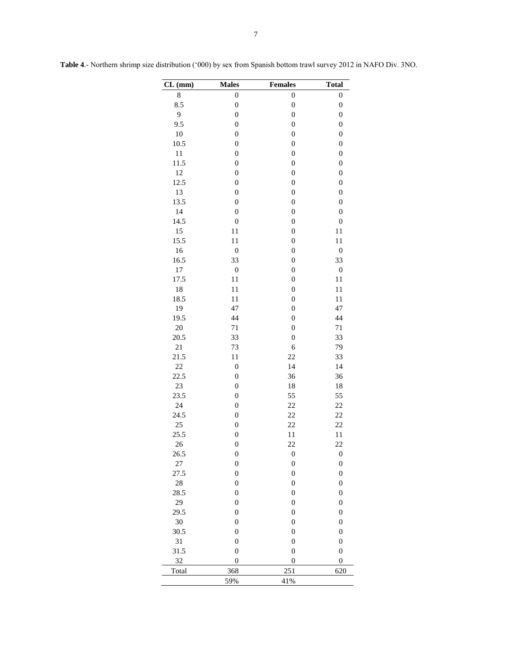| $CL$ (mm) | <b>Males</b>     | <b>Females</b>   | <b>Total</b>     |
|-----------|------------------|------------------|------------------|
| 8         | $\boldsymbol{0}$ | $\boldsymbol{0}$ | $\boldsymbol{0}$ |
| 8.5       | $\boldsymbol{0}$ | $\boldsymbol{0}$ | $\boldsymbol{0}$ |
| 9         | $\boldsymbol{0}$ | $\boldsymbol{0}$ | $\boldsymbol{0}$ |
| 9.5       | $\boldsymbol{0}$ | $\mathbf{0}$     | $\boldsymbol{0}$ |
| 10        | $\boldsymbol{0}$ | $\boldsymbol{0}$ | $\boldsymbol{0}$ |
| 10.5      | $\boldsymbol{0}$ | $\boldsymbol{0}$ | $\boldsymbol{0}$ |
| $1\,1$    | $\boldsymbol{0}$ | $\boldsymbol{0}$ | $\boldsymbol{0}$ |
| 11.5      | $\boldsymbol{0}$ | $\boldsymbol{0}$ | $\boldsymbol{0}$ |
| 12        | $\boldsymbol{0}$ | $\boldsymbol{0}$ | $\boldsymbol{0}$ |
| 12.5      | $\boldsymbol{0}$ | $\boldsymbol{0}$ | $\boldsymbol{0}$ |
| 13        | $\boldsymbol{0}$ | $\boldsymbol{0}$ | $\boldsymbol{0}$ |
| 13.5      | $\boldsymbol{0}$ | $\boldsymbol{0}$ | $\boldsymbol{0}$ |
| 14        | $\boldsymbol{0}$ | $\boldsymbol{0}$ | $\boldsymbol{0}$ |
| 14.5      | $\boldsymbol{0}$ | $\boldsymbol{0}$ | $\boldsymbol{0}$ |
| 15        | $11\,$           | $\boldsymbol{0}$ | $1\,1$           |
| 15.5      | 11               | $\boldsymbol{0}$ | 11               |
| 16        | $\boldsymbol{0}$ | $\boldsymbol{0}$ | $\boldsymbol{0}$ |
| 16.5      | 33               | $\boldsymbol{0}$ | 33               |
| 17        | $\boldsymbol{0}$ | $\mathbf{0}$     | $\boldsymbol{0}$ |
| 17.5      | 11               | $\mathbf{0}$     | 11               |
| 18        | 11               | $\boldsymbol{0}$ | 11               |
| 18.5      | 11               | $\boldsymbol{0}$ | 11               |
| 19        | 47               | $\boldsymbol{0}$ | 47               |
| 19.5      | 44               | $\boldsymbol{0}$ | 44               |
| 20        | 71               | $\boldsymbol{0}$ | 71               |
| 20.5      | 33               | $\boldsymbol{0}$ | 33               |
| 21        | 73               | $\epsilon$       | 79               |
| 21.5      | 11               | 22               | 33               |
| 22        | $\boldsymbol{0}$ | 14               | 14               |
| 22.5      | $\boldsymbol{0}$ | 36               | 36               |
| 23        | $\boldsymbol{0}$ | 18               | 18               |
| 23.5      | $\boldsymbol{0}$ | 55               | 55               |
| 24        | $\boldsymbol{0}$ | 22               | 22               |
| 24.5      | $\boldsymbol{0}$ | 22               | 22               |
| 25        | $\boldsymbol{0}$ | 22               | 22               |
| 25.5      | $\boldsymbol{0}$ | 11               | $1\,1$           |
| 26        | $\boldsymbol{0}$ | 22               | 22               |
| 26.5      | $\boldsymbol{0}$ | $\boldsymbol{0}$ | $\boldsymbol{0}$ |
| 27        | $\boldsymbol{0}$ | $\boldsymbol{0}$ | $\boldsymbol{0}$ |
| 27.5      | $\boldsymbol{0}$ | $\boldsymbol{0}$ | $\boldsymbol{0}$ |
| 28        | $\boldsymbol{0}$ | $\boldsymbol{0}$ | $\boldsymbol{0}$ |
| 28.5      | $\boldsymbol{0}$ | $\boldsymbol{0}$ | $\boldsymbol{0}$ |
| 29        | $\boldsymbol{0}$ | $\boldsymbol{0}$ | $\boldsymbol{0}$ |
| 29.5      | $\boldsymbol{0}$ | $\boldsymbol{0}$ | $\boldsymbol{0}$ |
| 30        | $\boldsymbol{0}$ | $\boldsymbol{0}$ | $\boldsymbol{0}$ |
| 30.5      | $\boldsymbol{0}$ | $\boldsymbol{0}$ | $\boldsymbol{0}$ |
| 31        | $\boldsymbol{0}$ | $\boldsymbol{0}$ | $\boldsymbol{0}$ |
| 31.5      | $\boldsymbol{0}$ | $\boldsymbol{0}$ | $\boldsymbol{0}$ |
|           |                  |                  |                  |
| 32        | $\boldsymbol{0}$ | $\boldsymbol{0}$ | $\boldsymbol{0}$ |
| Total     | 368              | 251              | 620              |
|           | 59%              | 41%              |                  |

**Table 4**.- Northern shrimp size distribution ('000) by sex from Spanish bottom trawl survey 2012 in NAFO Div. 3NO.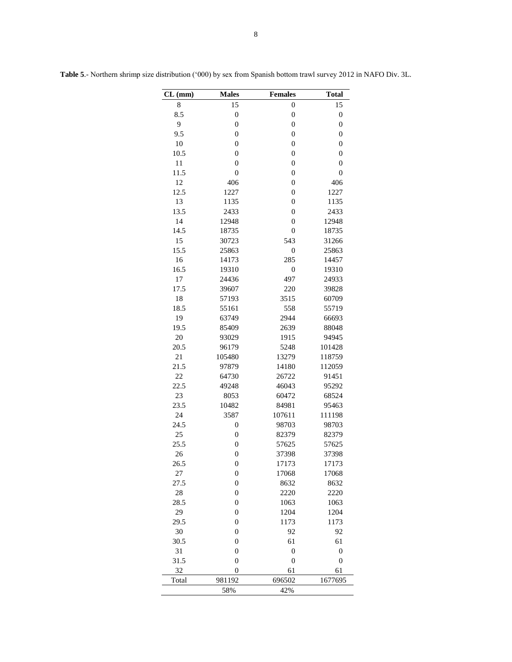| CL (mm) | <b>Males</b>     | <b>Females</b>   | <b>Total</b>     |
|---------|------------------|------------------|------------------|
| 8       | 15               | $\boldsymbol{0}$ | 15               |
| 8.5     | $\mathbf{0}$     | $\boldsymbol{0}$ | $\boldsymbol{0}$ |
| 9       | $\boldsymbol{0}$ | $\boldsymbol{0}$ | $\boldsymbol{0}$ |
| 9.5     | $\overline{0}$   | $\boldsymbol{0}$ | $\boldsymbol{0}$ |
| 10      | $\boldsymbol{0}$ | $\boldsymbol{0}$ | $\boldsymbol{0}$ |
| 10.5    | $\mathbf{0}$     | $\boldsymbol{0}$ | $\boldsymbol{0}$ |
| 11      | $\mathbf{0}$     | $\boldsymbol{0}$ | $\boldsymbol{0}$ |
| 11.5    | $\mathbf{0}$     | $\mathbf{0}$     | $\mathbf{0}$     |
| 12      | 406              | $\mathbf{0}$     | 406              |
| 12.5    | 1227             | $\mathbf{0}$     | 1227             |
| 13      | 1135             | $\boldsymbol{0}$ | 1135             |
| 13.5    | 2433             | $\boldsymbol{0}$ | 2433             |
| 14      | 12948            | $\boldsymbol{0}$ | 12948            |
| 14.5    | 18735            | $\mathbf{0}$     | 18735            |
| 15      | 30723            | 543              | 31266            |
| 15.5    | 25863            | $\boldsymbol{0}$ | 25863            |
| 16      | 14173            | 285              | 14457            |
| 16.5    | 19310            | $\boldsymbol{0}$ | 19310            |
| 17      | 24436            | 497              | 24933            |
| 17.5    | 39607            | 220              | 39828            |
| 18      | 57193            | 3515             | 60709            |
| 18.5    | 55161            | 558              | 55719            |
| 19      | 63749            | 2944             | 66693            |
| 19.5    | 85409            | 2639             | 88048            |
| 20      | 93029            | 1915             | 94945            |
| 20.5    | 96179            | 5248             | 101428           |
| 21      | 105480           | 13279            | 118759           |
| 21.5    | 97879            | 14180            | 112059           |
| 22      | 64730            | 26722            | 91451            |
| 22.5    | 49248            | 46043            | 95292            |
| 23      | 8053             | 60472            | 68524            |
| 23.5    | 10482            | 84981            | 95463            |
| 24      | 3587             | 107611           | 111198           |
| 24.5    | $\mathbf{0}$     | 98703            | 98703            |
| 25      | $\boldsymbol{0}$ | 82379            | 82379            |
| 25.5    | $\mathbf{0}$     | 57625            | 57625            |
| 26      | $\boldsymbol{0}$ | 37398            | 37398            |
| 26.5    | $\boldsymbol{0}$ | 17173            | 17173            |
| 27      | $\boldsymbol{0}$ | 17068            | 17068            |
| 27.5    | $\boldsymbol{0}$ | 8632             | 8632             |
| 28      | $\mathbf{0}$     | 2220             | 2220             |
| 28.5    | 0                | 1063             | 1063             |
| 29      | $\boldsymbol{0}$ | 1204             | 1204             |
| 29.5    | $\boldsymbol{0}$ | 1173             | 1173             |
| 30      | $\mathbf{0}$     | 92               | 92               |
| 30.5    | $\mathbf{0}$     | 61               | 61               |
| 31      | $\boldsymbol{0}$ | $\boldsymbol{0}$ | $\boldsymbol{0}$ |
| 31.5    | $\mathbf{0}$     | $\boldsymbol{0}$ | $\boldsymbol{0}$ |
| 32      | $\mathbf{0}$     | 61               | 61               |
| Total   | 981192           | 696502           | 1677695          |
|         | 58%              | 42%              |                  |

**Table 5**.- Northern shrimp size distribution ('000) by sex from Spanish bottom trawl survey 2012 in NAFO Div. 3L.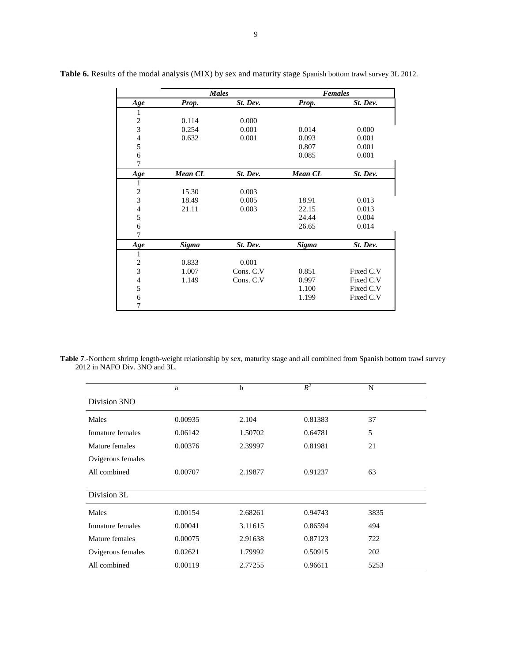|                          | <b>Males</b>   |           |                | <b>Females</b> |
|--------------------------|----------------|-----------|----------------|----------------|
| Age                      | Prop.          | St. Dev.  | Prop.          | St. Dev.       |
| 1                        |                |           |                |                |
| $\sqrt{2}$               | 0.114          | 0.000     |                |                |
| 3                        | 0.254          | 0.001     | 0.014          | 0.000          |
| $\overline{\mathcal{L}}$ | 0.632          | 0.001     | 0.093          | 0.001          |
| 5                        |                |           | 0.807          | 0.001          |
| 6                        |                |           | 0.085          | 0.001          |
| 7                        |                |           |                |                |
| Age                      | <b>Mean CL</b> | St. Dev.  | <b>Mean CL</b> | St. Dev.       |
| 1                        |                |           |                |                |
| $\overline{c}$           | 15.30          | 0.003     |                |                |
| 3                        | 18.49          | 0.005     | 18.91          | 0.013          |
| $\overline{4}$           | 21.11          | 0.003     | 22.15          | 0.013          |
| 5                        |                |           | 24.44          | 0.004          |
| 6                        |                |           | 26.65          | 0.014          |
| 7                        |                |           |                |                |
| Age                      | Sigma          | St. Dev.  | <b>Sigma</b>   | St. Dev.       |
| $\mathbf{1}$             |                |           |                |                |
| $\overline{c}$           | 0.833          | 0.001     |                |                |
| 3                        | 1.007          | Cons. C.V | 0.851          | Fixed C.V      |
| $\overline{4}$           | 1.149          | Cons. C.V | 0.997          | Fixed C.V      |
| 5                        |                |           | 1.100          | Fixed C.V      |
| 6                        |                |           | 1.199          | Fixed C.V      |
| 7                        |                |           |                |                |

**Table 6.** Results of the modal analysis (MIX) by sex and maturity stage Spanish bottom trawl survey 3L 2012.

**Table 7**.-Northern shrimp length-weight relationship by sex, maturity stage and all combined from Spanish bottom trawl survey 2012 in NAFO Div. 3NO and 3L.

|                   | a       | b       | $R^2$   | N    |  |
|-------------------|---------|---------|---------|------|--|
| Division 3NO      |         |         |         |      |  |
| Males             | 0.00935 | 2.104   | 0.81383 | 37   |  |
| Inmature females  | 0.06142 | 1.50702 | 0.64781 | 5    |  |
| Mature females    | 0.00376 | 2.39997 | 0.81981 | 21   |  |
| Ovigerous females |         |         |         |      |  |
| All combined      | 0.00707 | 2.19877 | 0.91237 | 63   |  |
|                   |         |         |         |      |  |
| Division 3L       |         |         |         |      |  |
| Males             | 0.00154 | 2.68261 | 0.94743 | 3835 |  |
| Inmature females  | 0.00041 | 3.11615 | 0.86594 | 494  |  |
| Mature females    | 0.00075 | 2.91638 | 0.87123 | 722  |  |
| Ovigerous females | 0.02621 | 1.79992 | 0.50915 | 202  |  |
| All combined      | 0.00119 | 2.77255 | 0.96611 | 5253 |  |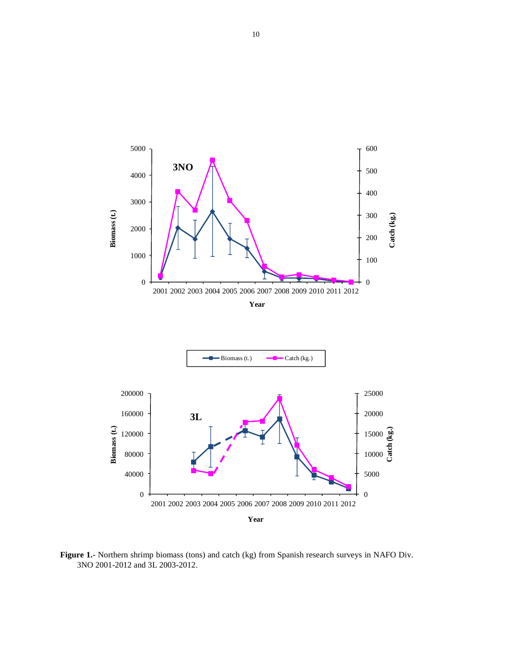

**Figure 1.-** Northern shrimp biomass (tons) and catch (kg) from Spanish research surveys in NAFO Div. 3NO 2001-2012 and 3L 2003-2012.

2002 2003 2004 2005 2006 2007 2008 2009 2010 2011 2012

**Year**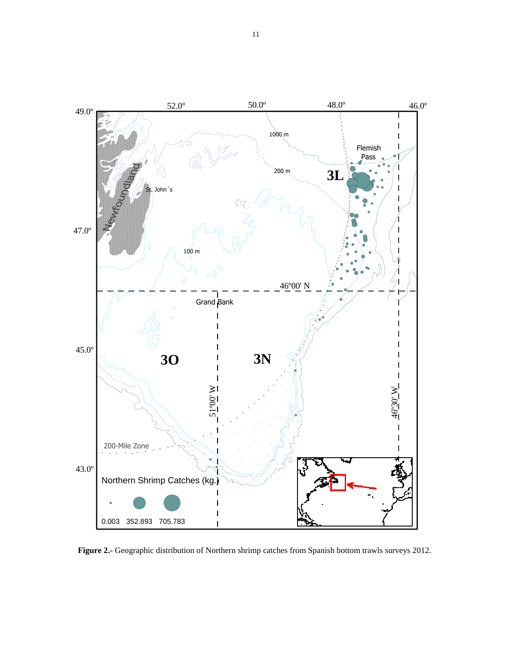

**Figure 2.-** Geographic distribution of Northern shrimp catches from Spanish bottom trawls surveys 2012.